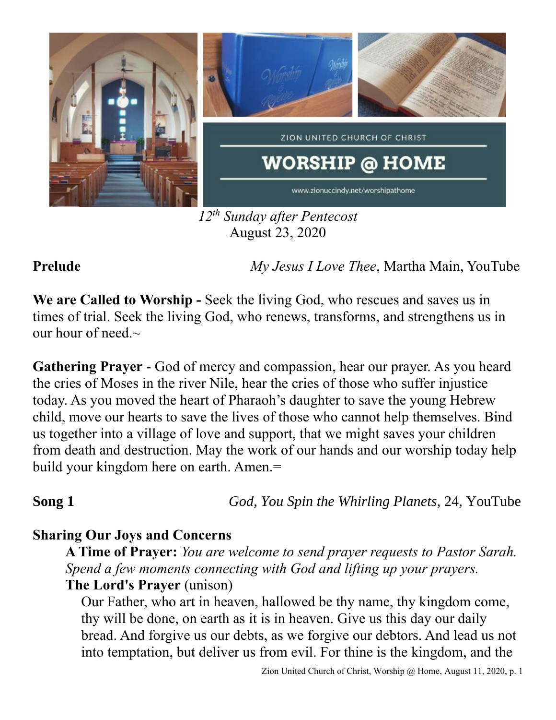

*12 th Sunday after Pentecost* August 23, 2020

**Prelude** *My Jesus I Love Thee*, Martha Main, YouTube

**We are Called to Worship -** Seek the living God, who rescues and saves us in times of trial. Seek the living God, who renews, transforms, and strengthens us in our hour of need. $\sim$ 

**Gathering Prayer** - God of mercy and compassion, hear our prayer. As you heard the cries of Moses in the river Nile, hear the cries of those who suffer injustice today. As you moved the heart of Pharaoh's daughter to save the young Hebrew child, move our hearts to save the lives of those who cannot help themselves. Bind us together into a village of love and support, that we might saves your children from death and destruction. May the work of our hands and our worship today help build your kingdom here on earth. Amen.=

**Song 1** *God, You Spin the Whirling Planets,* 24, YouTube

## **Sharing Our Joys and Concerns**

**A Time of Prayer:** *You are welcome to send prayer requests to Pastor Sarah. Spend a few moments connecting with God and lifting up your prayers.*

**The Lord's Prayer** (unison)

Our Father, who art in heaven, hallowed be thy name, thy kingdom come, thy will be done, on earth as it is in heaven. Give us this day our daily bread. And forgive us our debts, as we forgive our debtors. And lead us not into temptation, but deliver us from evil. For thine is the kingdom, and the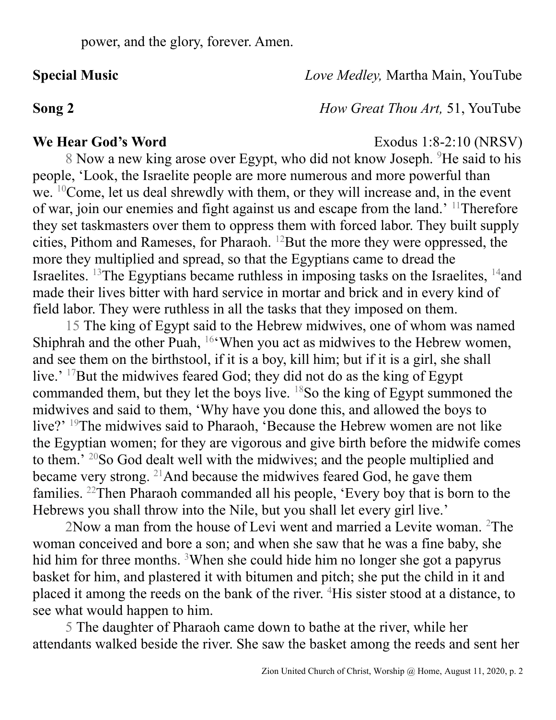**Special Music** *Love Medley,* Martha Main, YouTube

**Song 2** *How Great Thou Art,* 51, YouTube

### **We Hear God's Word** Exodus 1:8-2:10 (NRSV)

8 Now a new king arose over Egypt, who did not know Joseph. <sup>9</sup>He said to his people, 'Look, the Israelite people are more numerous and more powerful than we. <sup>10</sup>Come, let us deal shrewdly with them, or they will increase and, in the event of war, join our enemies and fight against us and escape from the land.' <sup>11</sup>Therefore they set taskmasters over them to oppress them with forced labor. They built supply cities, Pithom and Rameses, for Pharaoh. <sup>12</sup>But the more they were oppressed, the more they multiplied and spread, so that the Egyptians came to dread the Israelites. <sup>13</sup>The Egyptians became ruthless in imposing tasks on the Israelites,  $14$  and made their lives bitter with hard service in mortar and brick and in every kind of field labor. They were ruthless in all the tasks that they imposed on them.

15 The king of Egypt said to the Hebrew midwives, one of whom was named Shiphrah and the other Puah, <sup>16</sup>'When you act as midwives to the Hebrew women, and see them on the birthstool, if it is a boy, kill him; but if it is a girl, she shall live.' <sup>17</sup>But the midwives feared God; they did not do as the king of Egypt commanded them, but they let the boys live. <sup>18</sup>So the king of Egypt summoned the midwives and said to them, 'Why have you done this, and allowed the boys to live?' <sup>19</sup>The midwives said to Pharaoh, 'Because the Hebrew women are not like the Egyptian women; for they are vigorous and give birth before the midwife comes to them.' <sup>20</sup>So God dealt well with the midwives; and the people multiplied and became very strong. <sup>21</sup>And because the midwives feared God, he gave them families. <sup>22</sup>Then Pharaoh commanded all his people, 'Every boy that is born to the Hebrews you shall throw into the Nile, but you shall let every girl live.'

2Now a man from the house of Levi went and married a Levite woman. <sup>2</sup>The woman conceived and bore a son; and when she saw that he was a fine baby, she hid him for three months. <sup>3</sup>When she could hide him no longer she got a papyrus basket for him, and plastered it with bitumen and pitch; she put the child in it and placed it among the reeds on the bank of the river. <sup>4</sup>His sister stood at a distance, to see what would happen to him.

5 The daughter of Pharaoh came down to bathe at the river, while her attendants walked beside the river. She saw the basket among the reeds and sent her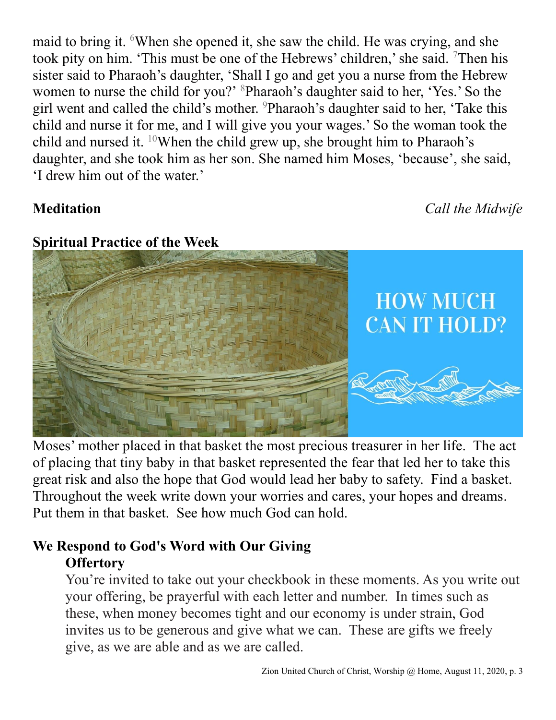maid to bring it. <sup>6</sup>When she opened it, she saw the child. He was crying, and she took pity on him. 'This must be one of the Hebrews' children,' she said. <sup>7</sup>Then his sister said to Pharaoh's daughter, 'Shall I go and get you a nurse from the Hebrew women to nurse the child for you?' <sup>8</sup>Pharaoh's daughter said to her, 'Yes.' So the girl went and called the child's mother. <sup>9</sup>Pharaoh's daughter said to her, 'Take this child and nurse it for me, and I will give you your wages.' So the woman took the child and nursed it.  $10$ When the child grew up, she brought him to Pharaoh's daughter, and she took him as her son. She named him Moses, 'because', she said, 'I drew him out of the water.'

**Meditation** *Call the Midwife*

### **Spiritual Practice of the Week**



Moses' mother placed in that basket the most precious treasurer in her life. The act of placing that tiny baby in that basket represented the fear that led her to take this great risk and also the hope that God would lead her baby to safety. Find a basket. Throughout the week write down your worries and cares, your hopes and dreams. Put them in that basket. See how much God can hold.

# **We Respond to God's Word with Our Giving Offertory**

You're invited to take out your checkbook in these moments. As you write out your offering, be prayerful with each letter and number. In times such as these, when money becomes tight and our economy is under strain, God invites us to be generous and give what we can. These are gifts we freely give, as we are able and as we are called.